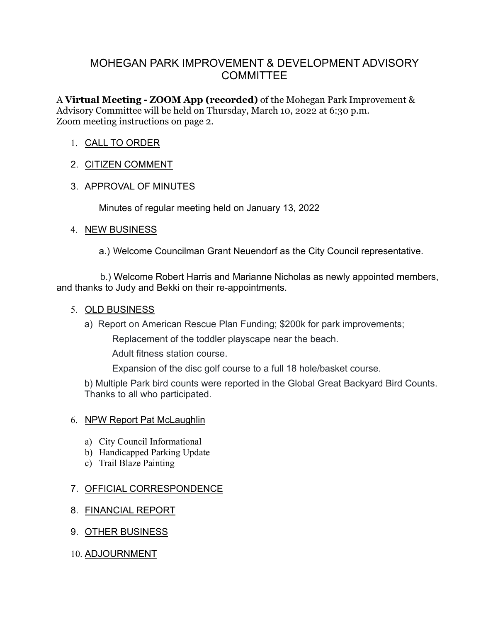# MOHEGAN PARK IMPROVEMENT & DEVELOPMENT ADVISORY **COMMITTEE**

A **Virtual Meeting - ZOOM App (recorded)** of the Mohegan Park Improvement & Advisory Committee will be held on Thursday, March 10, 2022 at 6:30 p.m. Zoom meeting instructions on page 2.

## 1. CALL TO ORDER

## 2. CITIZEN COMMENT

# 3. APPROVAL OF MINUTES

Minutes of regular meeting held on January 13, 2022

#### 4. NEW BUSINESS

a.) Welcome Councilman Grant Neuendorf as the City Council representative.

 b.) Welcome Robert Harris and Marianne Nicholas as newly appointed members, and thanks to Judy and Bekki on their re-appointments.

#### 5. OLD BUSINESS

a) Report on American Rescue Plan Funding; \$200k for park improvements;

Replacement of the toddler playscape near the beach.

Adult fitness station course.

Expansion of the disc golf course to a full 18 hole/basket course.

b) Multiple Park bird counts were reported in the Global Great Backyard Bird Counts. Thanks to all who participated.

## 6. NPW Report Pat McLaughlin

- a) City Council Informational
- b) Handicapped Parking Update
- c) Trail Blaze Painting

## 7. OFFICIAL CORRESPONDENCE

## 8. FINANCIAL REPORT

9. OTHER BUSINESS

## 10. ADJOURNMENT